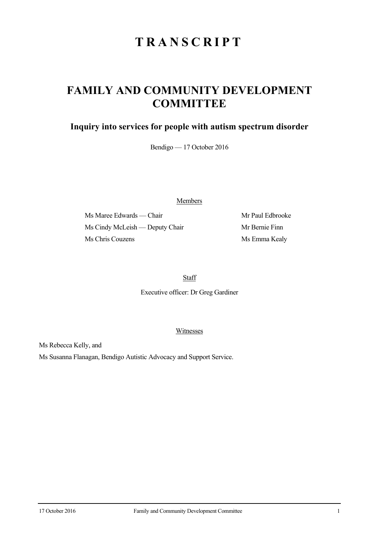# **TRANSCRIPT**

## **FAMILY AND COMMUNITY DEVELOPMENT COMMITTEE**

### **Inquiry into services for people with autism spectrum disorder**

Bendigo — 17 October 2016

Members

Ms Maree Edwards — Chair Mr Paul Edbrooke Ms Cindy McLeish — Deputy Chair Mr Bernie Finn Ms Chris Couzens Ms Emma Kealy

**Staff** 

Executive officer: Dr Greg Gardiner

Witnesses

Ms Rebecca Kelly, and

Ms Susanna Flanagan, Bendigo Autistic Advocacy and Support Service.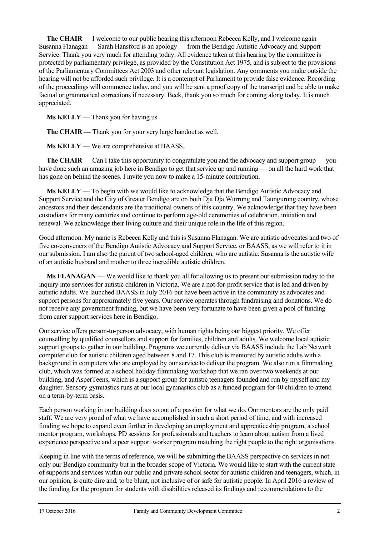**The CHAIR** — I welcome to our public hearing this afternoon Rebecca Kelly, and I welcome again Susanna Flanagan — Sarah Hansford is an apology — from the Bendigo Autistic Advocacy and Support Service. Thank you very much for attending today. All evidence taken at this hearing by the committee is protected by parliamentary privilege, as provided by the Constitution Act 1975, and is subject to the provisions of the Parliamentary Committees Act 2003 and other relevant legislation. Any comments you make outside the hearing will not be afforded such privilege. It is a contempt of Parliament to provide false evidence. Recording of the proceedings will commence today, and you will be sent a proof copy of the transcript and be able to make factual or grammatical corrections if necessary. Beck, thank you so much for coming along today. It is much appreciated.

**Ms KELLY** — Thank you for having us.

**The CHAIR** — Thank you for your very large handout as well.

**Ms KELLY** — We are comprehensive at BAASS.

**The CHAIR** — Can I take this opportunity to congratulate you and the advocacy and support group — you have done such an amazing job here in Bendigo to get that service up and running — on all the hard work that has gone on behind the scenes. I invite you now to make a 15-minute contribution.

**Ms KELLY** — To begin with we would like to acknowledge that the Bendigo Autistic Advocacy and Support Service and the City of Greater Bendigo are on both Dja Dja Wurrung and Taungurung country, whose ancestors and their descendants are the traditional owners of this country. We acknowledge that they have been custodians for many centuries and continue to perform age-old ceremonies of celebration, initiation and renewal. We acknowledge their living culture and their unique role in the life of this region.

Good afternoon. My name is Rebecca Kelly and this is Susanna Flanagan. We are autistic advocates and two of five co-conveners of the Bendigo Autistic Advocacy and Support Service, or BAASS, as we will refer to it in our submission. I am also the parent of two school-aged children, who are autistic. Susanna is the autistic wife of an autistic husband and mother to three incredible autistic children.

**Ms FLANAGAN** — We would like to thank you all for allowing us to present our submission today to the inquiry into services for autistic children in Victoria. We are a not-for-profit service that is led and driven by autistic adults. We launched BAASS in July 2016 but have been active in the community as advocates and support persons for approximately five years. Our service operates through fundraising and donations. We do not receive any government funding, but we have been very fortunate to have been given a pool of funding from carer support services here in Bendigo.

Our service offers person-to-person advocacy, with human rights being our biggest priority. We offer counselling by qualified counsellors and support for families, children and adults. We welcome local autistic support groups to gather in our building. Programs we currently deliver via BAASS include the Lab Network computer club for autistic children aged between 8 and 17. This club is mentored by autistic adults with a background in computers who are employed by our service to deliver the program. We also run a filmmaking club, which was formed at a school holiday filmmaking workshop that we ran over two weekends at our building, and AsperTeens, which is a support group for autistic teenagers founded and run by myself and my daughter. Sensory gymnastics runs at our local gymnastics club as a funded program for 40 children to attend on a term-by-term basis.

Each person working in our building does so out of a passion for what we do. Our mentors are the only paid staff. We are very proud of what we have accomplished in such a short period of time, and with increased funding we hope to expand even further in developing an employment and apprenticeship program, a school mentor program, workshops, PD sessions for professionals and teachers to learn about autism from a lived experience perspective and a peer support worker program matching the right people to the right organisations.

Keeping in line with the terms of reference, we will be submitting the BAASS perspective on services in not only our Bendigo community but in the broader scope of Victoria. We would like to start with the current state of supports and services within our public and private school sector for autistic children and teenagers, which, in our opinion, is quite dire and, to be blunt, not inclusive of or safe for autistic people. In April 2016 a review of the funding for the program for students with disabilities released its findings and recommendations to the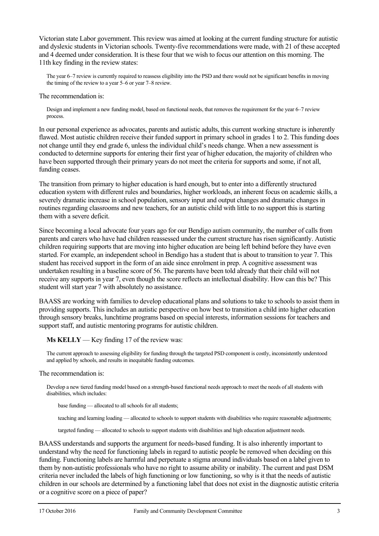Victorian state Labor government. This review was aimed at looking at the current funding structure for autistic and dyslexic students in Victorian schools. Twenty-five recommendations were made, with 21 of these accepted and 4 deemed under consideration. It is these four that we wish to focus our attention on this morning. The 11th key finding in the review states:

The year 6–7 review is currently required to reassess eligibility into the PSD and there would not be significant benefits in moving the timing of the review to a year 5–6 or year 7–8 review.

The recommendation is:

Design and implement a new funding model, based on functional needs, that removes the requirement for the year 6–7 review process.

In our personal experience as advocates, parents and autistic adults, this current working structure is inherently flawed. Most autistic children receive their funded support in primary school in grades 1 to 2. This funding does not change until they end grade 6, unless the individual child's needs change. When a new assessment is conducted to determine supports for entering their first year of higher education, the majority of children who have been supported through their primary years do not meet the criteria for supports and some, if not all, funding ceases.

The transition from primary to higher education is hard enough, but to enter into a differently structured education system with different rules and boundaries, higher workloads, an inherent focus on academic skills, a severely dramatic increase in school population, sensory input and output changes and dramatic changes in routines regarding classrooms and new teachers, for an autistic child with little to no support this is starting them with a severe deficit.

Since becoming a local advocate four years ago for our Bendigo autism community, the number of calls from parents and carers who have had children reassessed under the current structure has risen significantly. Autistic children requiring supports that are moving into higher education are being left behind before they have even started. For example, an independent school in Bendigo has a student that is about to transition to year 7. This student has received support in the form of an aide since enrolment in prep. A cognitive assessment was undertaken resulting in a baseline score of 56. The parents have been told already that their child will not receive any supports in year 7, even though the score reflects an intellectual disability. How can this be? This student will start year 7 with absolutely no assistance.

BAASS are working with families to develop educational plans and solutions to take to schools to assist them in providing supports. This includes an autistic perspective on how best to transition a child into higher education through sensory breaks, lunchtime programs based on special interests, information sessions for teachers and support staff, and autistic mentoring programs for autistic children.

**Ms KELLY** — Key finding 17 of the review was:

The current approach to assessing eligibility for funding through the targeted PSD component is costly, inconsistently understood and applied by schools, and results in inequitable funding outcomes.

The recommendation is:

Develop a new tiered funding model based on a strength-based functional needs approach to meet the needs of all students with disabilities, which includes:

base funding — allocated to all schools for all students;

teaching and learning loading — allocated to schools to support students with disabilities who require reasonable adjustments;

targeted funding — allocated to schools to support students with disabilities and high education adjustment needs.

BAASS understands and supports the argument for needs-based funding. It is also inherently important to understand why the need for functioning labels in regard to autistic people be removed when deciding on this funding. Functioning labels are harmful and perpetuate a stigma around individuals based on a label given to them by non-autistic professionals who have no right to assume ability or inability. The current and past DSM criteria never included the labels of high functioning or low functioning, so why is it that the needs of autistic children in our schools are determined by a functioning label that does not exist in the diagnostic autistic criteria or a cognitive score on a piece of paper?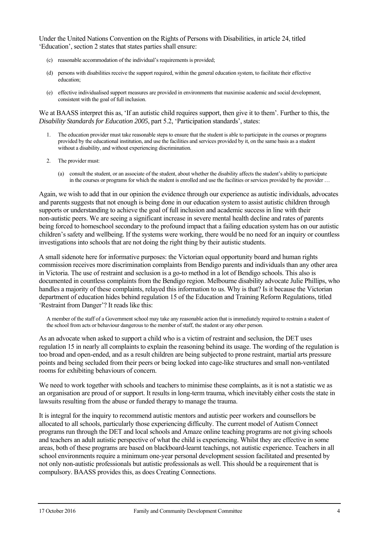Under the United Nations Convention on the Rights of Persons with Disabilities, in article 24, titled 'Education', section 2 states that states parties shall ensure:

- (c) reasonable accommodation of the individual's requirements is provided;
- (d) persons with disabilities receive the support required, within the general education system, to facilitate their effective education;
- (e) effective individualised support measures are provided in environments that maximise academic and social development, consistent with the goal of full inclusion.

We at BAASS interpret this as, 'If an autistic child requires support, then give it to them'. Further to this, the *Disability Standards for Education 2005*, part 5.2, 'Participation standards', states:

- 1. The education provider must take reasonable steps to ensure that the student is able to participate in the courses or programs provided by the educational institution, and use the facilities and services provided by it, on the same basis as a student without a disability, and without experiencing discrimination.
- 2. The provider must:
	- (a) consult the student, or an associate of the student, about whether the disability affects the student's ability to participate in the courses or programs for which the student is enrolled and use the facilities or services provided by the provider …

Again, we wish to add that in our opinion the evidence through our experience as autistic individuals, advocates and parents suggests that not enough is being done in our education system to assist autistic children through supports or understanding to achieve the goal of full inclusion and academic success in line with their non-autistic peers. We are seeing a significant increase in severe mental health decline and rates of parents being forced to homeschool secondary to the profound impact that a failing education system has on our autistic children's safety and wellbeing. If the systems were working, there would be no need for an inquiry or countless investigations into schools that are not doing the right thing by their autistic students.

A small sidenote here for informative purposes: the Victorian equal opportunity board and human rights commission receives more discrimination complaints from Bendigo parents and individuals than any other area in Victoria. The use of restraint and seclusion is a go-to method in a lot of Bendigo schools. This also is documented in countless complaints from the Bendigo region. Melbourne disability advocate Julie Phillips, who handles a majority of these complaints, relayed this information to us. Why is that? Is it because the Victorian department of education hides behind regulation 15 of the Education and Training Reform Regulations, titled 'Restraint from Danger'? It reads like this:

A member of the staff of a Government school may take any reasonable action that is immediately required to restrain a student of the school from acts or behaviour dangerous to the member of staff, the student or any other person.

As an advocate when asked to support a child who is a victim of restraint and seclusion, the DET uses regulation 15 in nearly all complaints to explain the reasoning behind its usage. The wording of the regulation is too broad and open-ended, and as a result children are being subjected to prone restraint, martial arts pressure points and being secluded from their peers or being locked into cage-like structures and small non-ventilated rooms for exhibiting behaviours of concern.

We need to work together with schools and teachers to minimise these complaints, as it is not a statistic we as an organisation are proud of or support. It results in long-term trauma, which inevitably either costs the state in lawsuits resulting from the abuse or funded therapy to manage the trauma.

It is integral for the inquiry to recommend autistic mentors and autistic peer workers and counsellors be allocated to all schools, particularly those experiencing difficulty. The current model of Autism Connect programs run through the DET and local schools and Amaze online teaching programs are not giving schools and teachers an adult autistic perspective of what the child is experiencing. Whilst they are effective in some areas, both of these programs are based on blackboard-learnt teachings, not autistic experience. Teachers in all school environments require a minimum one-year personal development session facilitated and presented by not only non-autistic professionals but autistic professionals as well. This should be a requirement that is compulsory. BAASS provides this, as does Creating Connections.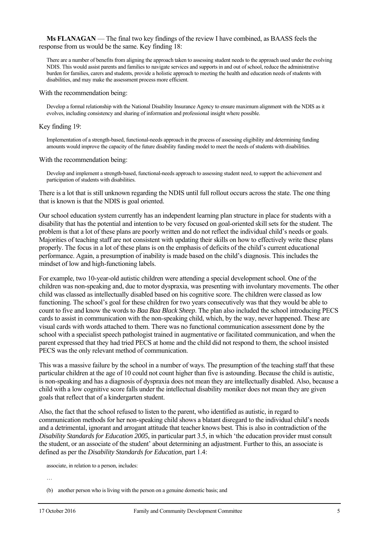#### **Ms FLANAGAN** — The final two key findings of the review I have combined, as BAASS feels the response from us would be the same. Key finding 18:

There are a number of benefits from aligning the approach taken to assessing student needs to the approach used under the evolving NDIS. This would assist parents and families to navigate services and supports in and out of school, reduce the administrative burden for families, carers and students, provide a holistic approach to meeting the health and education needs of students with disabilities, and may make the assessment process more efficient.

#### With the recommendation being:

Develop a formal relationship with the National Disability Insurance Agency to ensure maximum alignment with the NDIS as it evolves, including consistency and sharing of information and professional insight where possible.

#### Key finding 19:

Implementation of a strength-based, functional-needs approach in the process of assessing eligibility and determining funding amounts would improve the capacity of the future disability funding model to meet the needs of students with disabilities.

#### With the recommendation being:

Develop and implement a strength-based, functional-needs approach to assessing student need, to support the achievement and participation of students with disabilities.

There is a lot that is still unknown regarding the NDIS until full rollout occurs across the state. The one thing that is known is that the NDIS is goal oriented.

Our school education system currently has an independent learning plan structure in place for students with a disability that has the potential and intention to be very focused on goal-oriented skill sets for the student. The problem is that a lot of these plans are poorly written and do not reflect the individual child's needs or goals. Majorities of teaching staff are not consistent with updating their skills on how to effectively write these plans properly. The focus in a lot of these plans is on the emphasis of deficits of the child's current educational performance. Again, a presumption of inability is made based on the child's diagnosis. This includes the mindset of low and high-functioning labels.

For example, two 10-year-old autistic children were attending a special development school. One of the children was non-speaking and, due to motor dyspraxia, was presenting with involuntary movements. The other child was classed as intellectually disabled based on his cognitive score. The children were classed as low functioning. The school's goal for these children for two years consecutively was that they would be able to count to five and know the words to *Baa Baa Black Sheep*. The plan also included the school introducing PECS cards to assist in communication with the non-speaking child, which, by the way, never happened. These are visual cards with words attached to them. There was no functional communication assessment done by the school with a specialist speech pathologist trained in augmentative or facilitated communication, and when the parent expressed that they had tried PECS at home and the child did not respond to them, the school insisted PECS was the only relevant method of communication.

This was a massive failure by the school in a number of ways. The presumption of the teaching staff that these particular children at the age of 10 could not count higher than five is astounding. Because the child is autistic, is non-speaking and has a diagnosis of dyspraxia does not mean they are intellectually disabled. Also, because a child with a low cognitive score falls under the intellectual disability moniker does not mean they are given goals that reflect that of a kindergarten student.

Also, the fact that the school refused to listen to the parent, who identified as autistic, in regard to communication methods for her non-speaking child shows a blatant disregard to the individual child's needs and a detrimental, ignorant and arrogant attitude that teacher knows best. This is also in contradiction of the *Disability Standards for Education 2005*, in particular part 3.5, in which 'the education provider must consult the student, or an associate of the student' about determining an adjustment. Further to this, an associate is defined as per the *Disability Standards for Education*, part 1.4:

associate, in relation to a person, includes:

…

<sup>(</sup>b) another person who is living with the person on a genuine domestic basis; and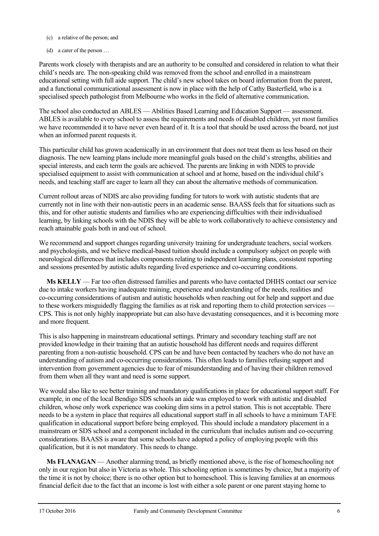- (c) a relative of the person; and
- (d) a carer of the person …

Parents work closely with therapists and are an authority to be consulted and considered in relation to what their child's needs are. The non-speaking child was removed from the school and enrolled in a mainstream educational setting with full aide support. The child's new school takes on board information from the parent, and a functional communicational assessment is now in place with the help of Cathy Basterfield, who is a specialised speech pathologist from Melbourne who works in the field of alternative communication.

The school also conducted an ABLES — Abilities Based Learning and Education Support — assessment. ABLES is available to every school to assess the requirements and needs of disabled children, yet most families we have recommended it to have never even heard of it. It is a tool that should be used across the board, not just when an informed parent requests it.

This particular child has grown academically in an environment that does not treat them as less based on their diagnosis. The new learning plans include more meaningful goals based on the child's strengths, abilities and special interests, and each term the goals are achieved. The parents are linking in with NDIS to provide specialised equipment to assist with communication at school and at home, based on the individual child's needs, and teaching staff are eager to learn all they can about the alternative methods of communication.

Current rollout areas of NDIS are also providing funding for tutors to work with autistic students that are currently not in line with their non-autistic peers in an academic sense. BAASS feels that for situations such as this, and for other autistic students and families who are experiencing difficulties with their individualised learning, by linking schools with the NDIS they will be able to work collaboratively to achieve consistency and reach attainable goals both in and out of school.

We recommend and support changes regarding university training for undergraduate teachers, social workers and psychologists, and we believe medical-based tuition should include a compulsory subject on people with neurological differences that includes components relating to independent learning plans, consistent reporting and sessions presented by autistic adults regarding lived experience and co-occurring conditions.

**Ms KELLY** — Far too often distressed families and parents who have contacted DHHS contact our service due to intake workers having inadequate training, experience and understanding of the needs, realities and co-occurring considerations of autism and autistic households when reaching out for help and support and due to these workers misguidedly flagging the families as at risk and reporting them to child protection services — CPS. This is not only highly inappropriate but can also have devastating consequences, and it is becoming more and more frequent.

This is also happening in mainstream educational settings. Primary and secondary teaching staff are not provided knowledge in their training that an autistic household has different needs and requires different parenting from a non-autistic household. CPS can be and have been contacted by teachers who do not have an understanding of autism and co-occurring considerations. This often leads to families refusing support and intervention from government agencies due to fear of misunderstanding and of having their children removed from them when all they want and need is some support.

We would also like to see better training and mandatory qualifications in place for educational support staff. For example, in one of the local Bendigo SDS schools an aide was employed to work with autistic and disabled children, whose only work experience was cooking dim sims in a petrol station. This is not acceptable. There needs to be a system in place that requires all educational support staff in all schools to have a minimum TAFE qualification in educational support before being employed. This should include a mandatory placement in a mainstream or SDS school and a component included in the curriculum that includes autism and co-occurring considerations. BAASS is aware that some schools have adopted a policy of employing people with this qualification, but it is not mandatory. This needs to change.

**Ms FLANAGAN** — Another alarming trend, as briefly mentioned above, is the rise of homeschooling not only in our region but also in Victoria as whole. This schooling option is sometimes by choice, but a majority of the time it is not by choice; there is no other option but to homeschool. This is leaving families at an enormous financial deficit due to the fact that an income is lost with either a sole parent or one parent staying home to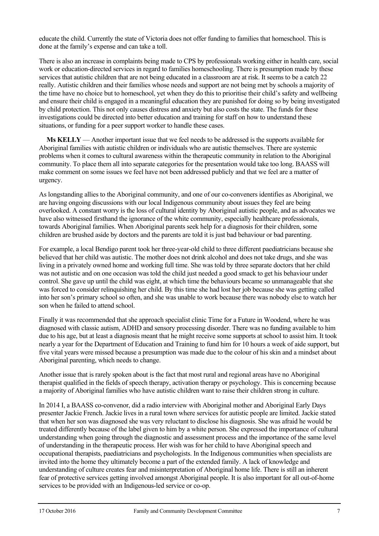educate the child. Currently the state of Victoria does not offer funding to families that homeschool. This is done at the family's expense and can take a toll.

There is also an increase in complaints being made to CPS by professionals working either in health care, social work or education-directed services in regard to families homeschooling. There is presumption made by these services that autistic children that are not being educated in a classroom are at risk. It seems to be a catch 22 really. Autistic children and their families whose needs and support are not being met by schools a majority of the time have no choice but to homeschool, yet when they do this to prioritise their child's safety and wellbeing and ensure their child is engaged in a meaningful education they are punished for doing so by being investigated by child protection. This not only causes distress and anxiety but also costs the state. The funds for these investigations could be directed into better education and training for staff on how to understand these situations, or funding for a peer support worker to handle these cases.

**Ms KELLY** — Another important issue that we feel needs to be addressed is the supports available for Aboriginal families with autistic children or individuals who are autistic themselves. There are systemic problems when it comes to cultural awareness within the therapeutic community in relation to the Aboriginal community. To place them all into separate categories for the presentation would take too long. BAASS will make comment on some issues we feel have not been addressed publicly and that we feel are a matter of urgency.

As longstanding allies to the Aboriginal community, and one of our co-conveners identifies as Aboriginal, we are having ongoing discussions with our local Indigenous community about issues they feel are being overlooked. A constant worry is the loss of cultural identity by Aboriginal autistic people, and as advocates we have also witnessed firsthand the ignorance of the white community, especially healthcare professionals, towards Aboriginal families. When Aboriginal parents seek help for a diagnosis for their children, some children are brushed aside by doctors and the parents are told it is just bad behaviour or bad parenting.

For example, a local Bendigo parent took her three-year-old child to three different paediatricians because she believed that her child was autistic. The mother does not drink alcohol and does not take drugs, and she was living in a privately owned home and working full time. She was told by three separate doctors that her child was not autistic and on one occasion was told the child just needed a good smack to get his behaviour under control. She gave up until the child was eight, at which time the behaviours became so unmanageable that she was forced to consider relinquishing her child. By this time she had lost her job because she was getting called into her son's primary school so often, and she was unable to work because there was nobody else to watch her son when he failed to attend school.

Finally it was recommended that she approach specialist clinic Time for a Future in Woodend, where he was diagnosed with classic autism, ADHD and sensory processing disorder. There was no funding available to him due to his age, but at least a diagnosis meant that he might receive some supports at school to assist him. It took nearly a year for the Department of Education and Training to fund him for 10 hours a week of aide support, but five vital years were missed because a presumption was made due to the colour of his skin and a mindset about Aboriginal parenting, which needs to change.

Another issue that is rarely spoken about is the fact that most rural and regional areas have no Aboriginal therapist qualified in the fields of speech therapy, activation therapy or psychology. This is concerning because a majority of Aboriginal families who have autistic children want to raise their children strong in culture.

In 2014 I, a BAASS co-convenor, did a radio interview with Aboriginal mother and Aboriginal Early Days presenter Jackie French. Jackie lives in a rural town where services for autistic people are limited. Jackie stated that when her son was diagnosed she was very reluctant to disclose his diagnosis. She was afraid he would be treated differently because of the label given to him by a white person. She expressed the importance of cultural understanding when going through the diagnostic and assessment process and the importance of the same level of understanding in the therapeutic process. Her wish was for her child to have Aboriginal speech and occupational therapists, paediatricians and psychologists. In the Indigenous communities when specialists are invited into the home they ultimately become a part of the extended family. A lack of knowledge and understanding of culture creates fear and misinterpretation of Aboriginal home life. There is still an inherent fear of protective services getting involved amongst Aboriginal people. It is also important for all out-of-home services to be provided with an Indigenous-led service or co-op.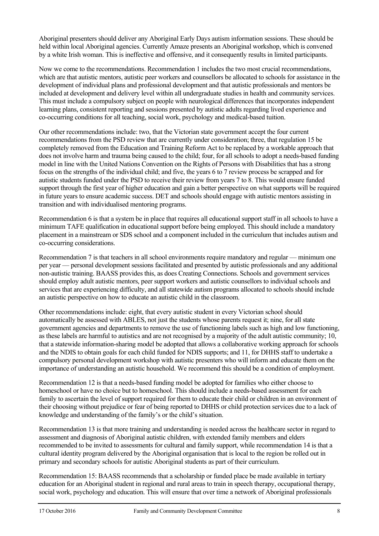Aboriginal presenters should deliver any Aboriginal Early Days autism information sessions. These should be held within local Aboriginal agencies. Currently Amaze presents an Aboriginal workshop, which is convened by a white Irish woman. This is ineffective and offensive, and it consequently results in limited participants.

Now we come to the recommendations. Recommendation 1 includes the two most crucial recommendations, which are that autistic mentors, autistic peer workers and counsellors be allocated to schools for assistance in the development of individual plans and professional development and that autistic professionals and mentors be included at development and delivery level within all undergraduate studies in health and community services. This must include a compulsory subject on people with neurological differences that incorporates independent learning plans, consistent reporting and sessions presented by autistic adults regarding lived experience and co-occurring conditions for all teaching, social work, psychology and medical-based tuition.

Our other recommendations include: two, that the Victorian state government accept the four current recommendations from the PSD review that are currently under consideration; three, that regulation 15 be completely removed from the Education and Training Reform Act to be replaced by a workable approach that does not involve harm and trauma being caused to the child; four, for all schools to adopt a needs-based funding model in line with the United Nations Convention on the Rights of Persons with Disabilities that has a strong focus on the strengths of the individual child; and five, the years 6 to 7 review process be scrapped and for autistic students funded under the PSD to receive their review from years 7 to 8. This would ensure funded support through the first year of higher education and gain a better perspective on what supports will be required in future years to ensure academic success. DET and schools should engage with autistic mentors assisting in transition and with individualised mentoring programs.

Recommendation 6 is that a system be in place that requires all educational support staff in all schools to have a minimum TAFE qualification in educational support before being employed. This should include a mandatory placement in a mainstream or SDS school and a component included in the curriculum that includes autism and co-occurring considerations.

Recommendation 7 is that teachers in all school environments require mandatory and regular — minimum one per year — personal development sessions facilitated and presented by autistic professionals and any additional non-autistic training. BAASS provides this, as does Creating Connections. Schools and government services should employ adult autistic mentors, peer support workers and autistic counsellors to individual schools and services that are experiencing difficulty, and all statewide autism programs allocated to schools should include an autistic perspective on how to educate an autistic child in the classroom.

Other recommendations include: eight, that every autistic student in every Victorian school should automatically be assessed with ABLES, not just the students whose parents request it; nine, for all state government agencies and departments to remove the use of functioning labels such as high and low functioning, as these labels are harmful to autistics and are not recognised by a majority of the adult autistic community; 10, that a statewide information-sharing model be adopted that allows a collaborative working approach for schools and the NDIS to obtain goals for each child funded for NDIS supports; and 11, for DHHS staff to undertake a compulsory personal development workshop with autistic presenters who will inform and educate them on the importance of understanding an autistic household. We recommend this should be a condition of employment.

Recommendation 12 is that a needs-based funding model be adopted for families who either choose to homeschool or have no choice but to homeschool. This should include a needs-based assessment for each family to ascertain the level of support required for them to educate their child or children in an environment of their choosing without prejudice or fear of being reported to DHHS or child protection services due to a lack of knowledge and understanding of the family's or the child's situation.

Recommendation 13 is that more training and understanding is needed across the healthcare sector in regard to assessment and diagnosis of Aboriginal autistic children, with extended family members and elders recommended to be invited to assessments for cultural and family support, while recommendation 14 is that a cultural identity program delivered by the Aboriginal organisation that is local to the region be rolled out in primary and secondary schools for autistic Aboriginal students as part of their curriculum.

Recommendation 15: BAASS recommends that a scholarship or funded place be made available in tertiary education for an Aboriginal student in regional and rural areas to train in speech therapy, occupational therapy, social work, psychology and education. This will ensure that over time a network of Aboriginal professionals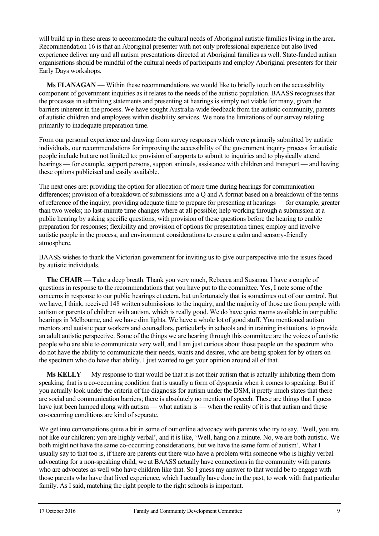will build up in these areas to accommodate the cultural needs of Aboriginal autistic families living in the area. Recommendation 16 is that an Aboriginal presenter with not only professional experience but also lived experience deliver any and all autism presentations directed at Aboriginal families as well. State-funded autism organisations should be mindful of the cultural needs of participants and employ Aboriginal presenters for their Early Days workshops.

**Ms FLANAGAN** — Within these recommendations we would like to briefly touch on the accessibility component of government inquiries as it relates to the needs of the autistic population. BAASS recognises that the processes in submitting statements and presenting at hearings is simply not viable for many, given the barriers inherent in the process. We have sought Australia-wide feedback from the autistic community, parents of autistic children and employees within disability services. We note the limitations of our survey relating primarily to inadequate preparation time.

From our personal experience and drawing from survey responses which were primarily submitted by autistic individuals, our recommendations for improving the accessibility of the government inquiry process for autistic people include but are not limited to: provision of supports to submit to inquiries and to physically attend hearings — for example, support persons, support animals, assistance with children and transport — and having these options publicised and easily available.

The next ones are: providing the option for allocation of more time during hearings for communication differences; provision of a breakdown of submissions into a Q and A format based on a breakdown of the terms of reference of the inquiry; providing adequate time to prepare for presenting at hearings — for example, greater than two weeks; no last-minute time changes where at all possible; help working through a submission at a public hearing by asking specific questions, with provision of these questions before the hearing to enable preparation for responses; flexibility and provision of options for presentation times; employ and involve autistic people in the process; and environment considerations to ensure a calm and sensory-friendly atmosphere.

BAASS wishes to thank the Victorian government for inviting us to give our perspective into the issues faced by autistic individuals.

**The CHAIR** — Take a deep breath. Thank you very much, Rebecca and Susanna. I have a couple of questions in response to the recommendations that you have put to the committee. Yes, I note some of the concerns in response to our public hearings et cetera, but unfortunately that is sometimes out of our control. But we have, I think, received 148 written submissions to the inquiry, and the majority of those are from people with autism or parents of children with autism, which is really good. We do have quiet rooms available in our public hearings in Melbourne, and we have dim lights. We have a whole lot of good stuff. You mentioned autism mentors and autistic peer workers and counsellors, particularly in schools and in training institutions, to provide an adult autistic perspective. Some of the things we are hearing through this committee are the voices of autistic people who are able to communicate very well, and I am just curious about those people on the spectrum who do not have the ability to communicate their needs, wants and desires, who are being spoken for by others on the spectrum who do have that ability. I just wanted to get your opinion around all of that.

**Ms KELLY** — My response to that would be that it is not their autism that is actually inhibiting them from speaking; that is a co-occurring condition that is usually a form of dyspraxia when it comes to speaking. But if you actually look under the criteria of the diagnosis for autism under the DSM, it pretty much states that there are social and communication barriers; there is absolutely no mention of speech. These are things that I guess have just been lumped along with autism — what autism is — when the reality of it is that autism and these co-occurring conditions are kind of separate.

We get into conversations quite a bit in some of our online advocacy with parents who try to say, 'Well, you are not like our children; you are highly verbal', and it is like, 'Well, hang on a minute. No, we are both autistic. We both might not have the same co-occurring considerations, but we have the same form of autism'. What I usually say to that too is, if there are parents out there who have a problem with someone who is highly verbal advocating for a non-speaking child, we at BAASS actually have connections in the community with parents who are advocates as well who have children like that. So I guess my answer to that would be to engage with those parents who have that lived experience, which I actually have done in the past, to work with that particular family. As I said, matching the right people to the right schools is important.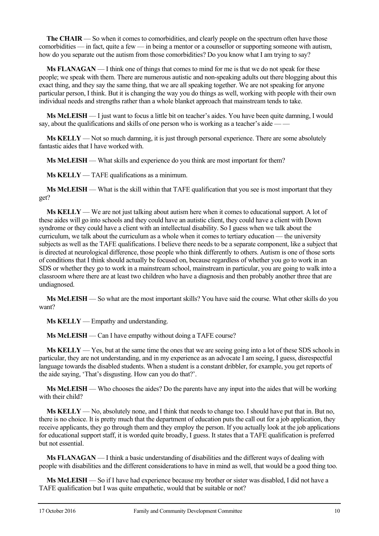**The CHAIR** — So when it comes to comorbidities, and clearly people on the spectrum often have those comorbidities — in fact, quite a few — in being a mentor or a counsellor or supporting someone with autism, how do you separate out the autism from those comorbidities? Do you know what I am trying to say?

**Ms FLANAGAN** — I think one of things that comes to mind for me is that we do not speak for these people; we speak with them. There are numerous autistic and non-speaking adults out there blogging about this exact thing, and they say the same thing, that we are all speaking together. We are not speaking for anyone particular person, I think. But it is changing the way you do things as well, working with people with their own individual needs and strengths rather than a whole blanket approach that mainstream tends to take.

**Ms McLEISH** — I just want to focus a little bit on teacher's aides. You have been quite damning, I would say, about the qualifications and skills of one person who is working as a teacher's aide -

**Ms KELLY** — Not so much damning, it is just through personal experience. There are some absolutely fantastic aides that I have worked with.

**Ms McLEISH** — What skills and experience do you think are most important for them?

**Ms KELLY** — TAFE qualifications as a minimum.

**Ms McLEISH** — What is the skill within that TAFE qualification that you see is most important that they get?

**Ms KELLY** — We are not just talking about autism here when it comes to educational support. A lot of these aides will go into schools and they could have an autistic client, they could have a client with Down syndrome or they could have a client with an intellectual disability. So I guess when we talk about the curriculum, we talk about the curriculum as a whole when it comes to tertiary education — the university subjects as well as the TAFE qualifications. I believe there needs to be a separate component, like a subject that is directed at neurological difference, those people who think differently to others. Autism is one of those sorts of conditions that I think should actually be focused on, because regardless of whether you go to work in an SDS or whether they go to work in a mainstream school, mainstream in particular, you are going to walk into a classroom where there are at least two children who have a diagnosis and then probably another three that are undiagnosed.

**Ms McLEISH** — So what are the most important skills? You have said the course. What other skills do you want?

**Ms KELLY** — Empathy and understanding.

**Ms McLEISH** — Can I have empathy without doing a TAFE course?

**Ms KELLY** — Yes, but at the same time the ones that we are seeing going into a lot of these SDS schools in particular, they are not understanding, and in my experience as an advocate I am seeing, I guess, disrespectful language towards the disabled students. When a student is a constant dribbler, for example, you get reports of the aide saying, 'That's disgusting. How can you do that?'.

**Ms McLEISH** — Who chooses the aides? Do the parents have any input into the aides that will be working with their child?

**Ms KELLY** — No, absolutely none, and I think that needs to change too. I should have put that in. But no, there is no choice. It is pretty much that the department of education puts the call out for a job application, they receive applicants, they go through them and they employ the person. If you actually look at the job applications for educational support staff, it is worded quite broadly, I guess. It states that a TAFE qualification is preferred but not essential.

**Ms FLANAGAN** — I think a basic understanding of disabilities and the different ways of dealing with people with disabilities and the different considerations to have in mind as well, that would be a good thing too.

**Ms McLEISH** — So if I have had experience because my brother or sister was disabled, I did not have a TAFE qualification but I was quite empathetic, would that be suitable or not?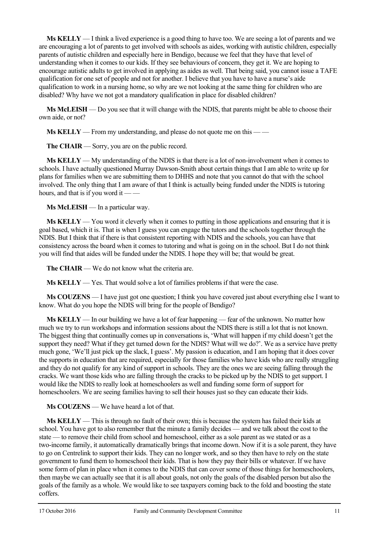**Ms KELLY** — I think a lived experience is a good thing to have too. We are seeing a lot of parents and we are encouraging a lot of parents to get involved with schools as aides, working with autistic children, especially parents of autistic children and especially here in Bendigo, because we feel that they have that level of understanding when it comes to our kids. If they see behaviours of concern, they get it. We are hoping to encourage autistic adults to get involved in applying as aides as well. That being said, you cannot issue a TAFE qualification for one set of people and not for another. I believe that you have to have a nurse's aide qualification to work in a nursing home, so why are we not looking at the same thing for children who are disabled? Why have we not got a mandatory qualification in place for disabled children?

**Ms McLEISH** — Do you see that it will change with the NDIS, that parents might be able to choose their own aide, or not?

**Ms KELLY** — From my understanding, and please do not quote me on this — —

**The CHAIR** — Sorry, you are on the public record.

**Ms KELLY** — My understanding of the NDIS is that there is a lot of non-involvement when it comes to schools. I have actually questioned Murray Dawson-Smith about certain things that I am able to write up for plans for families when we are submitting them to DHHS and note that you cannot do that with the school involved. The only thing that I am aware of that I think is actually being funded under the NDIS is tutoring hours, and that is if you word it —

**Ms McLEISH** — In a particular way.

**Ms KELLY** — You word it cleverly when it comes to putting in those applications and ensuring that it is goal based, which it is. That is when I guess you can engage the tutors and the schools together through the NDIS. But I think that if there is that consistent reporting with NDIS and the schools, you can have that consistency across the board when it comes to tutoring and what is going on in the school. But I do not think you will find that aides will be funded under the NDIS. I hope they will be; that would be great.

**The CHAIR** — We do not know what the criteria are.

**Ms KELLY** — Yes. That would solve a lot of families problems if that were the case.

**Ms COUZENS** — I have just got one question; I think you have covered just about everything else I want to know. What do you hope the NDIS will bring for the people of Bendigo?

**Ms KELLY** — In our building we have a lot of fear happening — fear of the unknown. No matter how much we try to run workshops and information sessions about the NDIS there is still a lot that is not known. The biggest thing that continually comes up in conversations is, 'What will happen if my child doesn't get the support they need? What if they get turned down for the NDIS? What will we do?'. We as a service have pretty much gone, 'We'll just pick up the slack, I guess'. My passion is education, and I am hoping that it does cover the supports in education that are required, especially for those families who have kids who are really struggling and they do not qualify for any kind of support in schools. They are the ones we are seeing falling through the cracks. We want those kids who are falling through the cracks to be picked up by the NDIS to get support. I would like the NDIS to really look at homeschoolers as well and funding some form of support for homeschoolers. We are seeing families having to sell their houses just so they can educate their kids.

**Ms COUZENS** — We have heard a lot of that.

**Ms KELLY** — This is through no fault of their own; this is because the system has failed their kids at school. You have got to also remember that the minute a family decides — and we talk about the cost to the state — to remove their child from school and homeschool, either as a sole parent as we stated or as a two-income family, it automatically dramatically brings that income down. Now if it is a sole parent, they have to go on Centrelink to support their kids. They can no longer work, and so they then have to rely on the state government to fund them to homeschool their kids. That is how they pay their bills or whatever. If we have some form of plan in place when it comes to the NDIS that can cover some of those things for homeschoolers, then maybe we can actually see that it is all about goals, not only the goals of the disabled person but also the goals of the family as a whole. We would like to see taxpayers coming back to the fold and boosting the state coffers.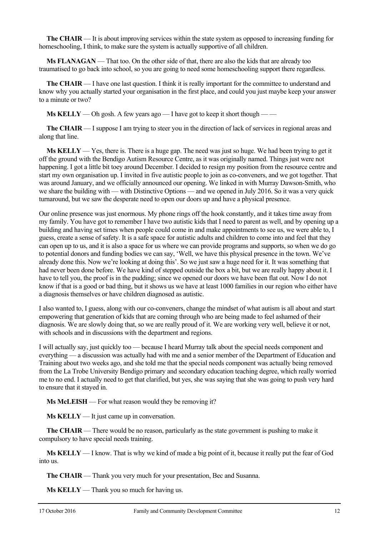**The CHAIR** — It is about improving services within the state system as opposed to increasing funding for homeschooling, I think, to make sure the system is actually supportive of all children.

**Ms FLANAGAN** — That too. On the other side of that, there are also the kids that are already too traumatised to go back into school, so you are going to need some homeschooling support there regardless.

**The CHAIR** — I have one last question. I think it is really important for the committee to understand and know why you actually started your organisation in the first place, and could you just maybe keep your answer to a minute or two?

**Ms KELLY** — Oh gosh. A few years ago — I have got to keep it short though — —

**The CHAIR** — I suppose I am trying to steer you in the direction of lack of services in regional areas and along that line.

**Ms KELLY** — Yes, there is. There is a huge gap. The need was just so huge. We had been trying to get it off the ground with the Bendigo Autism Resource Centre, as it was originally named. Things just were not happening. I got a little bit toey around December. I decided to resign my position from the resource centre and start my own organisation up. I invited in five autistic people to join as co-conveners, and we got together. That was around January, and we officially announced our opening. We linked in with Murray Dawson-Smith, who we share the building with — with Distinctive Options — and we opened in July 2016. So it was a very quick turnaround, but we saw the desperate need to open our doors up and have a physical presence.

Our online presence was just enormous. My phone rings off the hook constantly, and it takes time away from my family. You have got to remember I have two autistic kids that I need to parent as well, and by opening up a building and having set times when people could come in and make appointments to see us, we were able to, I guess, create a sense of safety. It is a safe space for autistic adults and children to come into and feel that they can open up to us, and it is also a space for us where we can provide programs and supports, so when we do go to potential donors and funding bodies we can say, 'Well, we have this physical presence in the town. We've already done this. Now we're looking at doing this'. So we just saw a huge need for it. It was something that had never been done before. We have kind of stepped outside the box a bit, but we are really happy about it. I have to tell you, the proof is in the pudding; since we opened our doors we have been flat out. Now I do not know if that is a good or bad thing, but it shows us we have at least 1000 families in our region who either have a diagnosis themselves or have children diagnosed as autistic.

I also wanted to, I guess, along with our co-conveners, change the mindset of what autism is all about and start empowering that generation of kids that are coming through who are being made to feel ashamed of their diagnosis. We are slowly doing that, so we are really proud of it. We are working very well, believe it or not, with schools and in discussions with the department and regions.

I will actually say, just quickly too — because I heard Murray talk about the special needs component and everything — a discussion was actually had with me and a senior member of the Department of Education and Training about two weeks ago, and she told me that the special needs component was actually being removed from the La Trobe University Bendigo primary and secondary education teaching degree, which really worried me to no end. I actually need to get that clarified, but yes, she was saying that she was going to push very hard to ensure that it stayed in.

**Ms McLEISH** — For what reason would they be removing it?

**Ms KELLY** — It just came up in conversation.

**The CHAIR** — There would be no reason, particularly as the state government is pushing to make it compulsory to have special needs training.

**Ms KELLY** — I know. That is why we kind of made a big point of it, because it really put the fear of God into us.

**The CHAIR** — Thank you very much for your presentation, Bec and Susanna.

**Ms KELLY** — Thank you so much for having us.